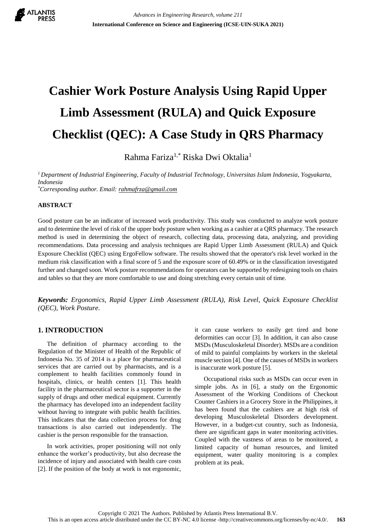

# **Cashier Work Posture Analysis Using Rapid Upper Limb Assessment (RULA) and Quick Exposure Checklist (QEC): A Case Study in QRS Pharmacy**

Rahma Fariza1,\* Riska Dwi Oktalia<sup>1</sup>

*<sup>1</sup>Department of Industrial Engineering, Faculty of Industrial Technology, Universitas Islam Indonesia, Yogyakarta, Indonesia*

*\*Corresponding author. Email: rahmafrza@gmail.com*

## **ABSTRACT**

Good posture can be an indicator of increased work productivity. This study was conducted to analyze work posture and to determine the level of risk of the upper body posture when working as a cashier at a QRS pharmacy. The research method is used in determining the object of research, collecting data, processing data, analyzing, and providing recommendations. Data processing and analysis techniques are Rapid Upper Limb Assessment (RULA) and Quick Exposure Checklist (QEC) using ErgoFellow software. The results showed that the operator's risk level worked in the medium risk classification with a final score of 5 and the exposure score of 60.49% or in the classification investigated further and changed soon. Work posture recommendations for operators can be supported by redesigning tools on chairs and tables so that they are more comfortable to use and doing stretching every certain unit of time.

*Keywords: Ergonomics, Rapid Upper Limb Assessment (RULA), Risk Level, Quick Exposure Checklist (QEC), Work Posture.*

# **1. INTRODUCTION**

The definition of pharmacy according to the Regulation of the Minister of Health of the Republic of Indonesia No. 35 of 2014 is a place for pharmaceutical services that are carried out by pharmacists, and is a complement to health facilities commonly found in hospitals, clinics, or health centers [1]. This health facility in the pharmaceutical sector is a supporter in the supply of drugs and other medical equipment. Currently the pharmacy has developed into an independent facility without having to integrate with public health facilities. This indicates that the data collection process for drug transactions is also carried out independently. The cashier is the person responsible for the transaction.

In work activities, proper positioning will not only enhance the worker's productivity, but also decrease the incidence of injury and associated with health care costs [2]. If the position of the body at work is not ergonomic, it can cause workers to easily get tired and bone deformities can occur [3]. In addition, it can also cause MSDs (Musculoskeletal Disorder). MSDs are a condition of mild to painful complaints by workers in the skeletal muscle section [4]. One of the causes of MSDs in workers is inaccurate work posture [5].

Occupational risks such as MSDs can occur even in simple jobs. As in [6], a study on the Ergonomic Assessment of the Working Conditions of Checkout Counter Cashiers in a Grocery Store in the Philippines, it has been found that the cashiers are at high risk of developing Musculoskeletal Disorders development. However, in a budget-cut country, such as Indonesia, there are significant gaps in water monitoring activities. Coupled with the vastness of areas to be monitored, a limited capacity of human resources, and limited equipment, water quality monitoring is a complex problem at its peak.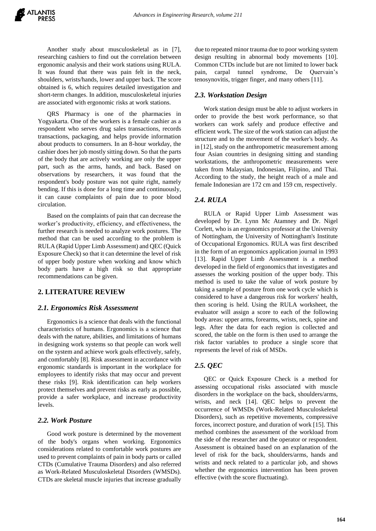Another study about musculoskeletal as in [7], researching cashiers to find out the correlation between ergonomic analysis and their work stations using RULA. It was found that there was pain felt in the neck, shoulders, wrists/hands, lower and upper back. The score obtained is 6, which requires detailed investigation and short-term changes. In addition, musculoskeletal injuries are associated with ergonomic risks at work stations.

QRS Pharmacy is one of the pharmacies in Yogyakarta. One of the workers is a female cashier as a respondent who serves drug sales transactions, records transactions, packaging, and helps provide information about products to consumers. In an 8-hour workday, the cashier does her job mostly sitting down. So that the parts of the body that are actively working are only the upper part, such as the arms, hands, and back. Based on observations by researchers, it was found that the respondent's body posture was not quite right, namely bending. If this is done for a long time and continuously, it can cause complaints of pain due to poor blood circulation.

Based on the complaints of pain that can decrease the worker's productivity, efficiency, and effectiveness, the further research is needed to analyze work postures. The method that can be used according to the problem is RULA (Rapid Upper Limb Assessment) and QEC (Quick Exposure Check) so that it can determine the level of risk of upper body posture when working and know which body parts have a high risk so that appropriate recommendations can be given.

## **2. LITERATURE REVIEW**

#### *2.1. Ergonomics Risk Assessment*

Ergonomics is a science that deals with the functional characteristics of humans. Ergonomics is a science that deals with the nature, abilities, and limitations of humans in designing work systems so that people can work well on the system and achieve work goals effectively, safely, and comfortably [8]. Risk assessment in accordance with ergonomic standards is important in the workplace for employees to identify risks that may occur and prevent these risks [9]. Risk identification can help workers protect themselves and prevent risks as early as possible, provide a safer workplace, and increase productivity levels.

#### *2.2. Work Posture*

Good work posture is determined by the movement of the body's organs when working. Ergonomics considerations related to comfortable work postures are used to prevent complaints of pain in body parts or called CTDs (Cumulative Trauma Disorders) and also referred as Work-Related Musculoskeletal Disorders (WMSDs). CTDs are skeletal muscle injuries that increase gradually

due to repeated minor trauma due to poor working system design resulting in abnormal body movements [10]. Common CTDs include but are not limited to lower back pain, carpal tunnel syndrome, De Quervain's tenosynovitis, trigger finger, and many others [11].

#### *2.3. Workstation Design*

Work station design must be able to adjust workers in order to provide the best work performance, so that workers can work safely and produce effective and efficient work. The size of the work station can adjust the structure and to the movement of the worker's body. As in [12], study on the anthropometric measurement among four Asian countries in designing sitting and standing workstations, the anthropometric measurements were taken from Malaysian, Indonesian, Filipino, and Thai. According to the study, the height reach of a male and female Indonesian are 172 cm and 159 cm, respectively.

#### *2.4. RULA*

RULA or Rapid Upper Limb Assessment was developed by Dr. Lynn Mc Atamney and Dr. Nigel Corlett, who is an ergonomics professor at the University of Nottingham, the University of Nottingham's Institute of Occupational Ergonomics. RULA was first described in the form of an ergonomics application journal in 1993 [13]. Rapid Upper Limb Assessment is a method developed in the field of ergonomics that investigates and assesses the working position of the upper body. This method is used to take the value of work posture by taking a sample of posture from one work cycle which is considered to have a dangerous risk for workers' health, then scoring is held. Using the RULA worksheet, the evaluator will assign a score to each of the following body areas: upper arms, forearms, wrists, neck, spine and legs. After the data for each region is collected and scored, the table on the form is then used to arrange the risk factor variables to produce a single score that represents the level of risk of MSDs.

## *2.5. QEC*

QEC or Quick Exposure Check is a method for assessing occupational risks associated with muscle disorders in the workplace on the back, shoulders/arms, wrists, and neck [14]. QEC helps to prevent the occurrence of WMSDs (Work-Related Musculoskeletal Disorders), such as repetitive movements, compressive forces, incorrect posture, and duration of work [15]. This method combines the assessment of the workload from the side of the researcher and the operator or respondent. Assessment is obtained based on an explanation of the level of risk for the back, shoulders/arms, hands and wrists and neck related to a particular job, and shows whether the ergonomics intervention has been proven effective (with the score fluctuating).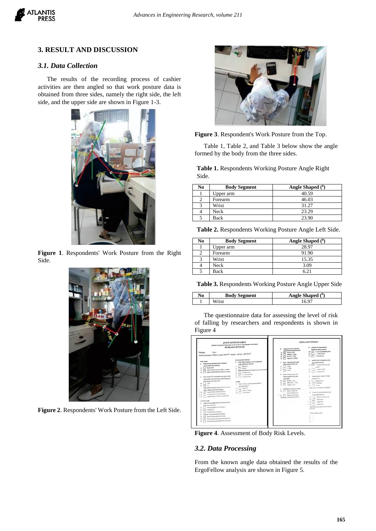

# **3. RESULT AND DISCUSSION**

# *3.1. Data Collection*

The results of the recording process of cashier activities are then angled so that work posture data is obtained from three sides, namely the right side, the left side, and the upper side are shown in Figure 1-3.



**Figure 1**. Respondents' Work Posture from the Right Side.



**Figure 2**. Respondents' Work Posture from the Left Side.



**Figure 3**. Respondent's Work Posture from the Top.

Table 1, Table 2, and Table 3 below show the angle formed by the body from the three sides.

**Table 1.** Respondents Working Posture Angle Right Side.

| No | <b>Body Segment</b> | Angle Shaped $(0)$ |
|----|---------------------|--------------------|
|    | Upper arm           | 40.59              |
|    | Forearm             | 46.03              |
|    | Wrist               | 31.27              |
|    | Neck                | 23.29              |
|    | <b>Back</b>         | 23.90              |

**Table 2.** Respondents Working Posture Angle Left Side.

| No | <b>Body Segment</b> | Angle Shaped $(0)$ |
|----|---------------------|--------------------|
|    | Upper arm           | 28.97              |
|    | Forearm             | 91.90              |
|    | Wrist               | 15.35              |
|    | Neck                | 3.09               |
|    | Back                |                    |

**Table 3.** Respondents Working Posture Angle Upper Side

| No | <b>Body Segment</b> | Angle Shaped $(0)$ |
|----|---------------------|--------------------|
|    |                     |                    |

The questionnaire data for assessing the level of risk of falling by researchers and respondents is shown in Figure 4



**Figure 4**. Assessment of Body Risk Levels.

#### *3.2. Data Processing*

From the known angle data obtained the results of the ErgoFellow analysis are shown in Figure 5.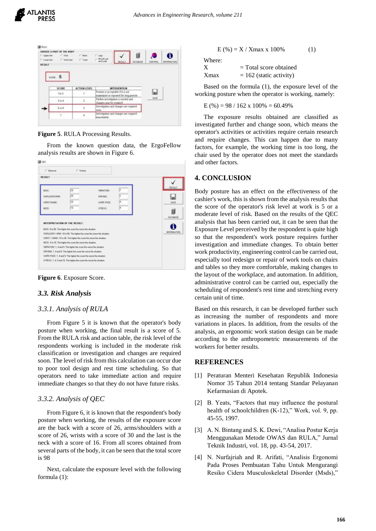**DE FLEA** 

| C. Upper Ave.<br>C. Lincoln Rate<br><b>RESULT</b> | CHOOSE A FART OF THE BODY<br>IT: Mike<br>i" Washield | $C$ . North<br>$1 - 2$ such | $1 - 1$ keep<br>and Load                                        | <b>RESULT</b>                          | 冒<br><b>MTABASE</b> | CONTROL | A<br><b><i>BUICEBALTICH</i></b> |
|---------------------------------------------------|------------------------------------------------------|-----------------------------|-----------------------------------------------------------------|----------------------------------------|---------------------|---------|---------------------------------|
|                                                   | score: 5                                             |                             |                                                                 |                                        |                     |         |                                 |
|                                                   | \$CORE                                               | <b>ACTION LEVEL</b>         |                                                                 | <b>INTERVENTION</b>                    |                     |         |                                 |
|                                                   | 5072                                                 | Đ                           | Porture is acceptable if it is not                              | santaned or repeated for long percelo. |                     |         |                                 |
|                                                   | 3 or 4                                               | š.                          | Further investigation is needed and<br>thanges may be required. |                                        |                     | SAIT    |                                 |
|                                                   | $5$ as $5$                                           |                             | lovestigation and changes are required<br>6046                  |                                        |                     |         |                                 |

**Figure 5**. RULA Processing Results.

From the known question data, the ErgoFellow analysis results are shown in Figure 6.



**Figure 6**. Exposure Score.

# *3.3. Risk Analysis*

## *3.3.1. Analysis of RULA*

From Figure 5 it is known that the operator's body posture when working, the final result is a score of 5. From the RULA risk and action table, the risk level of the respondents working is included in the moderate risk classification or investigation and changes are required soon. The level of risk from this calculation can occur due to poor tool design and rest time scheduling. So that operators need to take immediate action and require immediate changes so that they do not have future risks.

# *3.3.2. Analysis of QEC*

From Figure 6, it is known that the respondent's body posture when working, the results of the exposure score are the back with a score of 26, arms/shoulders with a score of 26, wrists with a score of 30 and the last is the neck with a score of 16. From all scores obtained from several parts of the body, it can be seen that the total score is 98

Next, calculate the exposure level with the following formula (1):

$$
E(%) = X / Xmax x 100\% \tag{1}
$$

Where:

| х    | $=$ Total score obtained  |
|------|---------------------------|
| Xmax | $= 162$ (static activity) |

Based on the formula (1), the exposure level of the working posture when the operator is working, namely:

$$
E(\%) = 98 / 162 \times 100\% = 60.49\%
$$

The exposure results obtained are classified as investigated further and change soon, which means the operator's activities or activities require certain research and require changes. This can happen due to many factors, for example, the working time is too long, the chair used by the operator does not meet the standards and other factors.

# **4. CONCLUSION**

Body posture has an effect on the effectiveness of the cashier's work, this is shown from the analysis results that the score of the operator's risk level at work is 5 or a moderate level of risk. Based on the results of the QEC analysis that has been carried out, it can be seen that the Exposure Level perceived by the respondent is quite high so that the respondent's work posture requires further investigation and immediate changes. To obtain better work productivity, engineering control can be carried out, especially tool redesign or repair of work tools on chairs and tables so they more comfortable, making changes to the layout of the workplace, and automation. In addition, administrative control can be carried out, especially the scheduling of respondent's rest time and stretching every certain unit of time.

Based on this research, it can be developed further such as increasing the number of respondents and more variations in places. In addition, from the results of the analysis, an ergonomic work station design can be made according to the anthropometric measurements of the workers for better results.

## **REFERENCES**

- [1] Peraturan Menteri Kesehatan Republik Indonesia Nomor 35 Tahun 2014 tentang Standar Pelayanan Kefarmasian di Apotek.
- [2] B. Yeats, "Factors that may influence the postural health of schoolchildren (K-12)," Work, vol. 9, pp. 45-55, 1997.
- [3] A. N. Bintang and S. K. Dewi, "Analisa Postur Kerja Menggunakan Metode OWAS dan RULA," Jurnal Teknik Industri, vol. 18, pp. 43-54, 2017.
- [4] N. Nurfajriah and R. Arifati, "Analisis Ergonomi Pada Proses Pembuatan Tahu Untuk Mengurangi Resiko Cidera Musculoskeletal Disorder (Msds),"